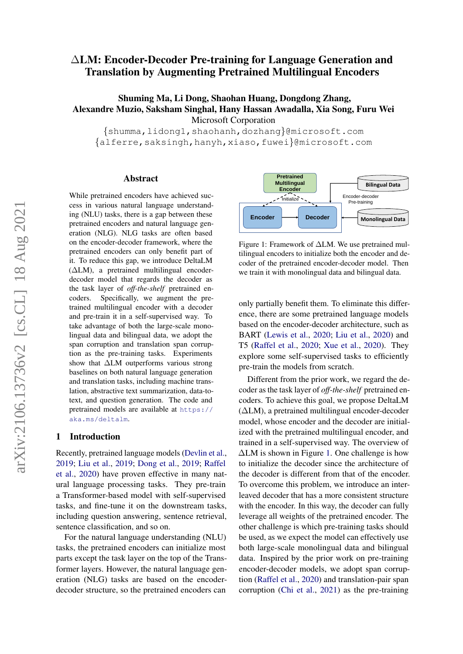# ∆LM: Encoder-Decoder Pre-training for Language Generation and Translation by Augmenting Pretrained Multilingual Encoders

# Shuming Ma, Li Dong, Shaohan Huang, Dongdong Zhang, Alexandre Muzio, Saksham Singhal, Hany Hassan Awadalla, Xia Song, Furu Wei Microsoft Corporation

{shumma,lidong1,shaohanh,dozhang}@microsoft.com {alferre,saksingh,hanyh,xiaso,fuwei}@microsoft.com

#### Abstract

While pretrained encoders have achieved success in various natural language understanding (NLU) tasks, there is a gap between these pretrained encoders and natural language generation (NLG). NLG tasks are often based on the encoder-decoder framework, where the pretrained encoders can only benefit part of it. To reduce this gap, we introduce DeltaLM  $(ΔLM)$ , a pretrained multilingual encoderdecoder model that regards the decoder as the task layer of *off-the-shelf* pretrained encoders. Specifically, we augment the pretrained multilingual encoder with a decoder and pre-train it in a self-supervised way. To take advantage of both the large-scale monolingual data and bilingual data, we adopt the span corruption and translation span corruption as the pre-training tasks. Experiments show that ∆LM outperforms various strong baselines on both natural language generation and translation tasks, including machine translation, abstractive text summarization, data-totext, and question generation. The code and pretrained models are available at [https://](https://aka.ms/deltalm) [aka.ms/deltalm](https://aka.ms/deltalm).

### 1 Introduction

Recently, pretrained language models [\(Devlin et al.,](#page-7-0) [2019;](#page-7-0) [Liu et al.,](#page-8-0) [2019;](#page-8-0) [Dong et al.,](#page-7-1) [2019;](#page-7-1) [Raffel](#page-8-1) [et al.,](#page-8-1) [2020\)](#page-8-1) have proven effective in many natural language processing tasks. They pre-train a Transformer-based model with self-supervised tasks, and fine-tune it on the downstream tasks, including question answering, sentence retrieval, sentence classification, and so on.

For the natural language understanding (NLU) tasks, the pretrained encoders can initialize most parts except the task layer on the top of the Transformer layers. However, the natural language generation (NLG) tasks are based on the encoderdecoder structure, so the pretrained encoders can

<span id="page-0-0"></span>

Figure 1: Framework of ∆LM. We use pretrained multilingual encoders to initialize both the encoder and decoder of the pretrained encoder-decoder model. Then we train it with monolingual data and bilingual data.

only partially benefit them. To eliminate this difference, there are some pretrained language models based on the encoder-decoder architecture, such as BART [\(Lewis et al.,](#page-7-2) [2020;](#page-7-2) [Liu et al.,](#page-8-2) [2020\)](#page-8-2) and T5 [\(Raffel et al.,](#page-8-1) [2020;](#page-8-1) [Xue et al.,](#page-8-3) [2020\)](#page-8-3). They explore some self-supervised tasks to efficiently pre-train the models from scratch.

Different from the prior work, we regard the decoder as the task layer of *off-the-shelf* pretrained encoders. To achieve this goal, we propose DeltaLM (∆LM), a pretrained multilingual encoder-decoder model, whose encoder and the decoder are initialized with the pretrained multilingual encoder, and trained in a self-supervised way. The overview of ∆LM is shown in Figure [1.](#page-0-0) One challenge is how to initialize the decoder since the architecture of the decoder is different from that of the encoder. To overcome this problem, we introduce an interleaved decoder that has a more consistent structure with the encoder. In this way, the decoder can fully leverage all weights of the pretrained encoder. The other challenge is which pre-training tasks should be used, as we expect the model can effectively use both large-scale monolingual data and bilingual data. Inspired by the prior work on pre-training encoder-decoder models, we adopt span corruption [\(Raffel et al.,](#page-8-1) [2020\)](#page-8-1) and translation-pair span corruption [\(Chi et al.,](#page-6-0) [2021\)](#page-6-0) as the pre-training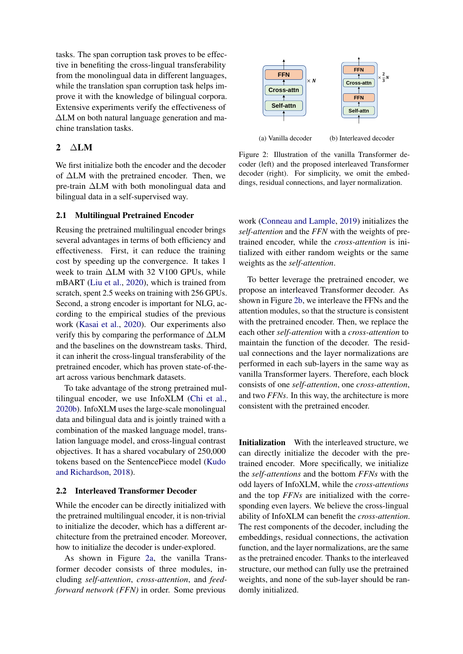tasks. The span corruption task proves to be effective in benefiting the cross-lingual transferability from the monolingual data in different languages, while the translation span corruption task helps improve it with the knowledge of bilingual corpora. Extensive experiments verify the effectiveness of ∆LM on both natural language generation and machine translation tasks.

### 2 ∆LM

We first initialize both the encoder and the decoder of ∆LM with the pretrained encoder. Then, we pre-train ∆LM with both monolingual data and bilingual data in a self-supervised way.

#### 2.1 Multilingual Pretrained Encoder

Reusing the pretrained multilingual encoder brings several advantages in terms of both efficiency and effectiveness. First, it can reduce the training cost by speeding up the convergence. It takes 1 week to train ∆LM with 32 V100 GPUs, while mBART [\(Liu et al.,](#page-8-2) [2020\)](#page-8-2), which is trained from scratch, spent 2.5 weeks on training with 256 GPUs. Second, a strong encoder is important for NLG, according to the empirical studies of the previous work [\(Kasai et al.,](#page-7-3) [2020\)](#page-7-3). Our experiments also verify this by comparing the performance of ∆LM and the baselines on the downstream tasks. Third, it can inherit the cross-lingual transferability of the pretrained encoder, which has proven state-of-theart across various benchmark datasets.

To take advantage of the strong pretrained multilingual encoder, we use InfoXLM [\(Chi et al.,](#page-7-4) [2020b\)](#page-7-4). InfoXLM uses the large-scale monolingual data and bilingual data and is jointly trained with a combination of the masked language model, translation language model, and cross-lingual contrast objectives. It has a shared vocabulary of 250,000 tokens based on the SentencePiece model [\(Kudo](#page-7-5) [and Richardson,](#page-7-5) [2018\)](#page-7-5).

#### 2.2 Interleaved Transformer Decoder

While the encoder can be directly initialized with the pretrained multilingual encoder, it is non-trivial to initialize the decoder, which has a different architecture from the pretrained encoder. Moreover, how to initialize the decoder is under-explored.

As shown in Figure [2a,](#page-1-0) the vanilla Transformer decoder consists of three modules, including *self-attention*, *cross-attention*, and *feedforward network (FFN)* in order. Some previous

<span id="page-1-0"></span>

(a) Vanilla decoder

(b) Interleaved decoder

Figure 2: Illustration of the vanilla Transformer decoder (left) and the proposed interleaved Transformer decoder (right). For simplicity, we omit the embeddings, residual connections, and layer normalization.

work [\(Conneau and Lample,](#page-7-6) [2019\)](#page-7-6) initializes the *self-attention* and the *FFN* with the weights of pretrained encoder, while the *cross-attention* is initialized with either random weights or the same weights as the *self-attention*.

To better leverage the pretrained encoder, we propose an interleaved Transformer decoder. As shown in Figure [2b,](#page-1-0) we interleave the FFNs and the attention modules, so that the structure is consistent with the pretrained encoder. Then, we replace the each other *self-attention* with a *cross-attention* to maintain the function of the decoder. The residual connections and the layer normalizations are performed in each sub-layers in the same way as vanilla Transformer layers. Therefore, each block consists of one *self-attention*, one *cross-attention*, and two *FFNs*. In this way, the architecture is more consistent with the pretrained encoder.

Initialization With the interleaved structure, we can directly initialize the decoder with the pretrained encoder. More specifically, we initialize the *self-attentions* and the bottom *FFNs* with the odd layers of InfoXLM, while the *cross-attentions* and the top *FFNs* are initialized with the corresponding even layers. We believe the cross-lingual ability of InfoXLM can benefit the *cross-attention*. The rest components of the decoder, including the embeddings, residual connections, the activation function, and the layer normalizations, are the same as the pretrained encoder. Thanks to the interleaved structure, our method can fully use the pretrained weights, and none of the sub-layer should be randomly initialized.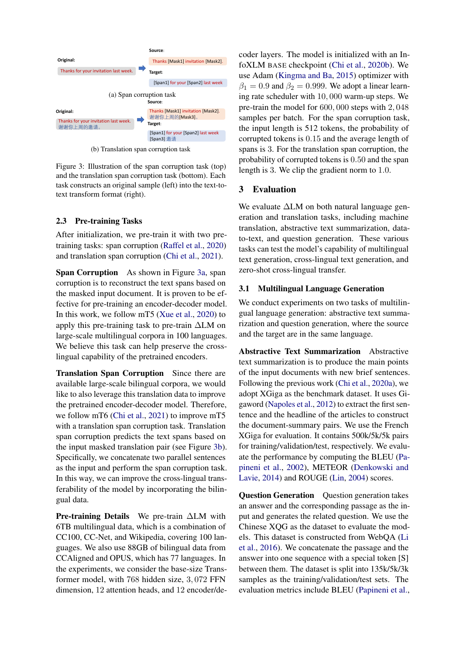<span id="page-2-0"></span>

(b) Translation span corruption task

Figure 3: Illustration of the span corruption task (top) and the translation span corruption task (bottom). Each task constructs an original sample (left) into the text-totext transform format (right).

### 2.3 Pre-training Tasks

After initialization, we pre-train it with two pretraining tasks: span corruption [\(Raffel et al.,](#page-8-1) [2020\)](#page-8-1) and translation span corruption [\(Chi et al.,](#page-6-0) [2021\)](#page-6-0).

Span Corruption As shown in Figure [3a,](#page-2-0) span corruption is to reconstruct the text spans based on the masked input document. It is proven to be effective for pre-training an encoder-decoder model. In this work, we follow mT5 [\(Xue et al.,](#page-8-3) [2020\)](#page-8-3) to apply this pre-training task to pre-train ∆LM on large-scale multilingual corpora in 100 languages. We believe this task can help preserve the crosslingual capability of the pretrained encoders.

Translation Span Corruption Since there are available large-scale bilingual corpora, we would like to also leverage this translation data to improve the pretrained encoder-decoder model. Therefore, we follow mT6 [\(Chi et al.,](#page-6-0) [2021\)](#page-6-0) to improve mT5 with a translation span corruption task. Translation span corruption predicts the text spans based on the input masked translation pair (see Figure [3b\)](#page-2-0). Specifically, we concatenate two parallel sentences as the input and perform the span corruption task. In this way, we can improve the cross-lingual transferability of the model by incorporating the bilingual data.

Pre-training Details We pre-train ∆LM with 6TB multilingual data, which is a combination of CC100, CC-Net, and Wikipedia, covering 100 languages. We also use 88GB of bilingual data from CCAligned and OPUS, which has 77 languages. In the experiments, we consider the base-size Transformer model, with 768 hidden size, 3, 072 FFN dimension, 12 attention heads, and 12 encoder/decoder layers. The model is initialized with an InfoXLM BASE checkpoint [\(Chi et al.,](#page-7-4) [2020b\)](#page-7-4). We use Adam [\(Kingma and Ba,](#page-7-7) [2015\)](#page-7-7) optimizer with  $\beta_1 = 0.9$  and  $\beta_2 = 0.999$ . We adopt a linear learning rate scheduler with 10, 000 warm-up steps. We pre-train the model for 600, 000 steps with 2, 048 samples per batch. For the span corruption task, the input length is 512 tokens, the probability of corrupted tokens is 0.15 and the average length of spans is 3. For the translation span corruption, the probability of corrupted tokens is 0.50 and the span length is 3. We clip the gradient norm to 1.0.

# 3 Evaluation

We evaluate ∆LM on both natural language generation and translation tasks, including machine translation, abstractive text summarization, datato-text, and question generation. These various tasks can test the model's capability of multilingual text generation, cross-lingual text generation, and zero-shot cross-lingual transfer.

### 3.1 Multilingual Language Generation

We conduct experiments on two tasks of multilingual language generation: abstractive text summarization and question generation, where the source and the target are in the same language.

Abstractive Text Summarization Abstractive text summarization is to produce the main points of the input documents with new brief sentences. Following the previous work [\(Chi et al.,](#page-6-1) [2020a\)](#page-6-1), we adopt XGiga as the benchmark dataset. It uses Gigaword [\(Napoles et al.,](#page-8-4) [2012\)](#page-8-4) to extract the first sentence and the headline of the articles to construct the document-summary pairs. We use the French XGiga for evaluation. It contains 500k/5k/5k pairs for training/validation/test, respectively. We evaluate the performance by computing the BLEU [\(Pa](#page-8-5)[pineni et al.,](#page-8-5) [2002\)](#page-8-5), METEOR [\(Denkowski and](#page-7-8) [Lavie,](#page-7-8) [2014\)](#page-7-8) and ROUGE [\(Lin,](#page-8-6) [2004\)](#page-8-6) scores.

Question Generation Question generation takes an answer and the corresponding passage as the input and generates the related question. We use the Chinese XQG as the dataset to evaluate the models. This dataset is constructed from WebQA [\(Li](#page-8-7) [et al.,](#page-8-7) [2016\)](#page-8-7). We concatenate the passage and the answer into one sequence with a special token [S] between them. The dataset is split into 135k/5k/3k samples as the training/validation/test sets. The evaluation metrics include BLEU [\(Papineni et al.,](#page-8-5)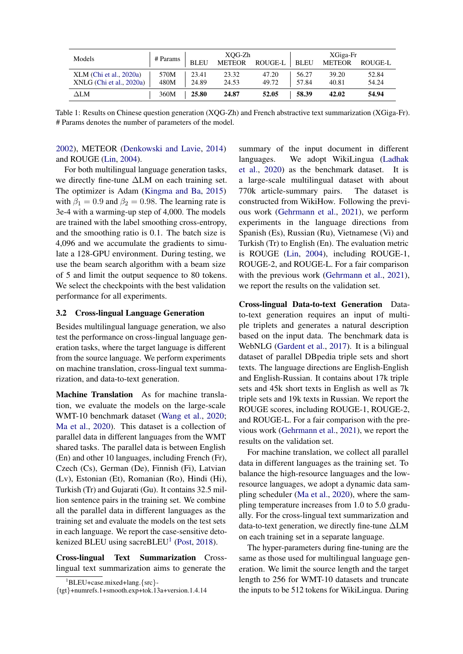<span id="page-3-1"></span>

| Models                     | # Params |             | XOG-Zh        |         | XGiga-Fr    |               |         |  |
|----------------------------|----------|-------------|---------------|---------|-------------|---------------|---------|--|
|                            |          | <b>BLEU</b> | <b>METEOR</b> | ROUGE-L | <b>BLEU</b> | <b>METEOR</b> | ROUGE-L |  |
| XLM (Chi et al., 2020a)    | 570M     | 23.41       | 23.32         | 47.20   | 56.27       | 39.20         | 52.84   |  |
| $XNLG$ (Chi et al., 2020a) | 480M     | 24.89       | 24.53         | 49.72   | 57.84       | 40.81         | 54.24   |  |
| $\Delta$ LM                | 360M     | 25.80       | 24.87         | 52.05   | 58.39       | 42.02         | 54.94   |  |

Table 1: Results on Chinese question generation (XQG-Zh) and French abstractive text summarization (XGiga-Fr). # Params denotes the number of parameters of the model.

### [2002\)](#page-8-5), METEOR [\(Denkowski and Lavie,](#page-7-8) [2014\)](#page-7-8) and ROUGE [\(Lin,](#page-8-6) [2004\)](#page-8-6).

For both multilingual language generation tasks, we directly fine-tune ∆LM on each training set. The optimizer is Adam [\(Kingma and Ba,](#page-7-7) [2015\)](#page-7-7) with  $\beta_1 = 0.9$  and  $\beta_2 = 0.98$ . The learning rate is 3e-4 with a warming-up step of 4,000. The models are trained with the label smoothing cross-entropy, and the smoothing ratio is 0.1. The batch size is 4,096 and we accumulate the gradients to simulate a 128-GPU environment. During testing, we use the beam search algorithm with a beam size of 5 and limit the output sequence to 80 tokens. We select the checkpoints with the best validation performance for all experiments.

#### 3.2 Cross-lingual Language Generation

Besides multilingual language generation, we also test the performance on cross-lingual language generation tasks, where the target language is different from the source language. We perform experiments on machine translation, cross-lingual text summarization, and data-to-text generation.

Machine Translation As for machine translation, we evaluate the models on the large-scale WMT-10 benchmark dataset [\(Wang et al.,](#page-8-8) [2020;](#page-8-8) [Ma et al.,](#page-8-9) [2020\)](#page-8-9). This dataset is a collection of parallel data in different languages from the WMT shared tasks. The parallel data is between English (En) and other 10 languages, including French (Fr), Czech (Cs), German (De), Finnish (Fi), Latvian (Lv), Estonian (Et), Romanian (Ro), Hindi (Hi), Turkish (Tr) and Gujarati (Gu). It contains 32.5 million sentence pairs in the training set. We combine all the parallel data in different languages as the training set and evaluate the models on the test sets in each language. We report the case-sensitive deto-kenized BLEU using sacreBLEU<sup>[1](#page-3-0)</sup> [\(Post,](#page-8-10) [2018\)](#page-8-10).

Cross-lingual Text Summarization Crosslingual text summarization aims to generate the summary of the input document in different languages. We adopt WikiLingua [\(Ladhak](#page-7-9) [et al.,](#page-7-9) [2020\)](#page-7-9) as the benchmark dataset. It is a large-scale multilingual dataset with about 770k article-summary pairs. The dataset is constructed from WikiHow. Following the previous work [\(Gehrmann et al.,](#page-7-10) [2021\)](#page-7-10), we perform experiments in the language directions from Spanish (Es), Russian (Ru), Vietnamese (Vi) and Turkish (Tr) to English (En). The evaluation metric is ROUGE [\(Lin,](#page-8-6) [2004\)](#page-8-6), including ROUGE-1, ROUGE-2, and ROUGE-L. For a fair comparison with the previous work [\(Gehrmann et al.,](#page-7-10) [2021\)](#page-7-10), we report the results on the validation set.

Cross-lingual Data-to-text Generation Datato-text generation requires an input of multiple triplets and generates a natural description based on the input data. The benchmark data is WebNLG [\(Gardent et al.,](#page-7-11) [2017\)](#page-7-11). It is a bilingual dataset of parallel DBpedia triple sets and short texts. The language directions are English-English and English-Russian. It contains about 17k triple sets and 45k short texts in English as well as 7k triple sets and 19k texts in Russian. We report the ROUGE scores, including ROUGE-1, ROUGE-2, and ROUGE-L. For a fair comparison with the previous work [\(Gehrmann et al.,](#page-7-10) [2021\)](#page-7-10), we report the results on the validation set.

For machine translation, we collect all parallel data in different languages as the training set. To balance the high-resource languages and the lowresource languages, we adopt a dynamic data sampling scheduler [\(Ma et al.,](#page-8-9) [2020\)](#page-8-9), where the sampling temperature increases from 1.0 to 5.0 gradually. For the cross-lingual text summarization and data-to-text generation, we directly fine-tune ∆LM on each training set in a separate language.

The hyper-parameters during fine-tuning are the same as those used for multilingual language generation. We limit the source length and the target length to 256 for WMT-10 datasets and truncate the inputs to be 512 tokens for WikiLingua. During

<span id="page-3-0"></span><sup>1</sup>BLEU+case.mixed+lang.{src}-

<sup>{</sup>tgt}+numrefs.1+smooth.exp+tok.13a+version.1.4.14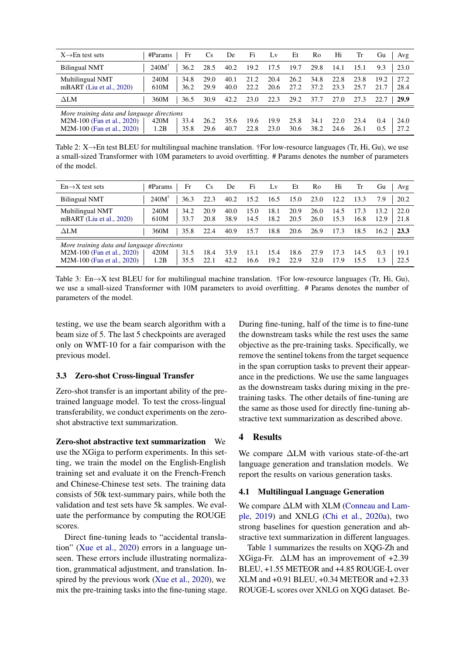<span id="page-4-0"></span>

| $X \rightarrow En$ test sets                                                                                                                                                                                                                                                                         | #Params          | Fr           | C <sub>s</sub> | De           | Fi           | Lv           | Et           | Ro           | Hi           | Tr           | Gu<br>Avg                    |
|------------------------------------------------------------------------------------------------------------------------------------------------------------------------------------------------------------------------------------------------------------------------------------------------------|------------------|--------------|----------------|--------------|--------------|--------------|--------------|--------------|--------------|--------------|------------------------------|
| <b>Bilingual NMT</b>                                                                                                                                                                                                                                                                                 | $240M^{\dagger}$ | 36.2         | 28.5           | 40.2         | 19.2         | 17.5         | 19.7         | 29.8         | 14.1         | 15.1         | 23.0<br>9.3                  |
| Multilingual NMT<br>mBART (Liu et al., 2020)                                                                                                                                                                                                                                                         | 240M<br>610M     | 34.8<br>36.2 | 29.0<br>29.9   | 40.1<br>40.0 | 21.2<br>22.2 | 20.4<br>20.6 | 26.2<br>27.2 | 34.8<br>37.2 | 22.8<br>23.3 | 23.8<br>25.7 | 19.2<br>27.2<br>28.4<br>21.7 |
| $\Delta LM$                                                                                                                                                                                                                                                                                          | 360M             | 36.5         | 30.9           | 42.2         | 23.0         | 22.3         | 29.2         | 37.7         | 27.0         | 27.3         | 29.9                         |
| More training data and language directions<br>33.4<br>420M<br>M2M-100 (Fan et al., 2020)<br>26.2<br>25.8<br>19.9<br>24.0<br>34.1<br>22.0<br>23.4<br>35.6<br>0.4<br>19.6<br>M2M-100 (Fan et al., 2020)<br>1.2B<br>35.8<br>30.6<br>22.8<br>23.0<br>38.2<br>27.2<br>29.6<br>40.7<br>24.6<br>26.1<br>0.5 |                  |              |                |              |              |              |              |              |              |              |                              |

Table 2: X→En test BLEU for multilingual machine translation. †For low-resource languages (Tr, Hi, Gu), we use a small-sized Transformer with 10M parameters to avoid overfitting. # Params denotes the number of parameters of the model.

<span id="page-4-1"></span>

| $En \rightarrow X$ test sets                                                                           | Fr<br>#Params                | Cs.          | De           | Fi           | Lv           | Et           | Ro           | Hi           | Tr           | Gu<br>Avg                    |
|--------------------------------------------------------------------------------------------------------|------------------------------|--------------|--------------|--------------|--------------|--------------|--------------|--------------|--------------|------------------------------|
| <b>Bilingual NMT</b>                                                                                   | $240M^{\dagger}$<br>36.3     | 22.3         | 40.2         | 15.2         | 16.5         | 15.0         | 23.0         | 12.2         | 13.3         | 7.9<br>20.2                  |
| Multilingual NMT<br>mBART (Liu et al., 2020)                                                           | 240M<br>34.2<br>610M<br>33.7 | 20.9<br>20.8 | 40.0<br>38.9 | 15.0<br>14.5 | 18.1<br>18.2 | 20.9<br>20.5 | 26.0<br>26.0 | 14.5<br>15.3 | 17.3<br>16.8 | 13.2<br>22.0<br>21.8<br>12.9 |
| $\Delta LM$                                                                                            | 360M<br>35.8                 | 22.4         | 40.9         | 15.7         | 18.8         | 20.6         | 26.9         | 17.3         | 18.5         | 16.2<br>23.3                 |
| More training data and language directions<br>M2M-100 (Fan et al., 2020)<br>M2M-100 (Fan et al., 2020) | 420M<br>31.5<br>35.5<br>1.2B | 18.4<br>22.1 | 33.9<br>42.2 | 13.1<br>16.6 | 15.4<br>19.2 | 18.6<br>22.9 | 27.9<br>32.0 | 17.3<br>17.9 | 14.5<br>15.5 | 0.3<br>19.1<br>22.5<br>1.3   |

Table 3: En $\rightarrow$ X test BLEU for for multilingual machine translation. †For low-resource languages (Tr, Hi, Gu), we use a small-sized Transformer with 10M parameters to avoid overfitting. # Params denotes the number of parameters of the model.

testing, we use the beam search algorithm with a beam size of 5. The last 5 checkpoints are averaged only on WMT-10 for a fair comparison with the previous model.

#### 3.3 Zero-shot Cross-lingual Transfer

Zero-shot transfer is an important ability of the pretrained language model. To test the cross-lingual transferability, we conduct experiments on the zeroshot abstractive text summarization.

Zero-shot abstractive text summarization We use the XGiga to perform experiments. In this setting, we train the model on the English-English training set and evaluate it on the French-French and Chinese-Chinese test sets. The training data consists of 50k text-summary pairs, while both the validation and test sets have 5k samples. We evaluate the performance by computing the ROUGE scores.

Direct fine-tuning leads to "accidental translation" [\(Xue et al.,](#page-8-3) [2020\)](#page-8-3) errors in a language unseen. These errors include illustrating normalization, grammatical adjustment, and translation. Inspired by the previous work [\(Xue et al.,](#page-8-3) [2020\)](#page-8-3), we mix the pre-training tasks into the fine-tuning stage.

During fine-tuning, half of the time is to fine-tune the downstream tasks while the rest uses the same objective as the pre-training tasks. Specifically, we remove the sentinel tokens from the target sequence in the span corruption tasks to prevent their appearance in the predictions. We use the same languages as the downstream tasks during mixing in the pretraining tasks. The other details of fine-tuning are the same as those used for directly fine-tuning abstractive text summarization as described above.

### 4 Results

We compare ∆LM with various state-of-the-art language generation and translation models. We report the results on various generation tasks.

#### 4.1 Multilingual Language Generation

We compare  $\Delta LM$  with XLM [\(Conneau and Lam](#page-7-6)[ple,](#page-7-6) [2019\)](#page-7-6) and XNLG [\(Chi et al.,](#page-6-1) [2020a\)](#page-6-1), two strong baselines for question generation and abstractive text summarization in different languages.

Table [1](#page-3-1) summarizes the results on XQG-Zh and XGiga-Fr. ∆LM has an improvement of +2.39 BLEU, +1.55 METEOR and +4.85 ROUGE-L over XLM and +0.91 BLEU, +0.34 METEOR and +2.33 ROUGE-L scores over XNLG on XQG dataset. Be-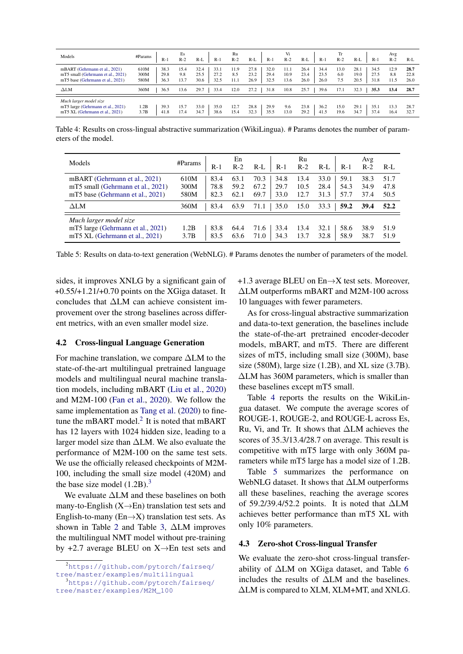<span id="page-5-2"></span>

| Models                                                                                                 | #Params<br>$R-1$                             | Es<br>$R-2$         | $R-L$<br>$R-1$                               | Ru<br>$R-2$         | $R-L$<br>$R-1$                               | Vi<br>$R-2$          | $R-L$<br>$R-1$                               | Tr<br>$R-2$        | $R-L$<br>$R-1$                               | Avg<br>$R-2$        | $R-L$                |
|--------------------------------------------------------------------------------------------------------|----------------------------------------------|---------------------|----------------------------------------------|---------------------|----------------------------------------------|----------------------|----------------------------------------------|--------------------|----------------------------------------------|---------------------|----------------------|
| mBART (Gehrmann et al., 2021)<br>mT5 small (Gehrmann et al., 2021)<br>mT5 base (Gehrmann et al., 2021) | 38.3<br>610M<br>300M<br>29.8<br>580M<br>36.3 | 15.4<br>9.8<br>13.7 | 32.4<br>33.1<br>25.5<br>27.2<br>30.6<br>32.5 | 11.9<br>8.5<br>11.1 | 27.8<br>32.0<br>23.2<br>29.4<br>26.9<br>32.5 | 11.1<br>10.9<br>13.6 | 26.4<br>34.4<br>23.4<br>23.5<br>26.0<br>26.0 | 13.0<br>6.0<br>7.5 | 28.1<br>34.5<br>27.5<br>19.0<br>20.5<br>31.8 | 12.9<br>8.8<br>11.5 | 28.7<br>22.8<br>26.0 |
| $\Delta LM$                                                                                            | 360M<br>36.5                                 | 13.6                | 29.7<br>33.4                                 | 12.0                | 27.2<br>31.8                                 | 10.8                 | 25.7<br>39.6                                 | 17.1               | 32.3<br>35.3                                 | 13.4                | 28.7                 |
| Much larger model size<br>mT5 large (Gehrmann et al., 2021)<br>mT5 XL (Gehrmann et al., 2021)          | 39.3<br>1.2B<br>3.7B<br>41.8                 | 15.7<br>17.4        | 33.0<br>35.0<br>34.7<br>38.6                 | 12.7<br>15.4        | 28.8<br>29.9<br>32.3<br>35.5                 | 9.6<br>13.0          | 23.8<br>36.2<br>29.2<br>41.5                 | 15.0<br>19.6       | 29.1<br>35.1<br>34.7<br>37.4                 | 13.3<br>16.4        | 28.7<br>32.7         |

Table 4: Results on cross-lingual abstractive summarization (WikiLingua). # Params denotes the number of parameters of the model.

<span id="page-5-3"></span>

| Models                                                                                                 | #Params              | $R-1$                | En<br>$R-2$          | $R-L$                | $R-1$                | Ru<br>$R-2$          | $R-L$<br>$R-1$                               | Avg<br>$R-2$         | R-L                  |
|--------------------------------------------------------------------------------------------------------|----------------------|----------------------|----------------------|----------------------|----------------------|----------------------|----------------------------------------------|----------------------|----------------------|
| mBART (Gehrmann et al., 2021)<br>mT5 small (Gehrmann et al., 2021)<br>mT5 base (Gehrmann et al., 2021) | 610M<br>300M<br>580M | 83.4<br>78.8<br>82.3 | 63.1<br>59.2<br>62.1 | 70.3<br>67.2<br>69.7 | 34.8<br>29.7<br>33.0 | 13.4<br>10.5<br>12.7 | 33.0<br>59.1<br>28.4<br>54.3<br>57.7<br>31.3 | 38.3<br>34.9<br>37.4 | 51.7<br>47.8<br>50.5 |
| $\Delta LM$                                                                                            | 360M                 | 83.4                 | 63.9                 | 71.1                 | 35.0                 | 15.0                 | 59.2<br>33.3                                 | 39.4                 | 52.2                 |
| Much larger model size<br>mT5 large (Gehrmann et al., 2021)<br>mT5 XL (Gehrmann et al., 2021)          | 1.2B<br>3.7B         | 83.8<br>83.5         | 64.4<br>63.6         | 71.6<br>71.0         | 33.4<br>34.3         | 13.4<br>13.7         | 32.1<br>58.6<br>58.9<br>32.8                 | 38.9<br>38.7         | 51.9<br>51.9         |

Table 5: Results on data-to-text generation (WebNLG). # Params denotes the number of parameters of the model.

sides, it improves XNLG by a significant gain of  $+0.55/+1.21/+0.70$  points on the XGiga dataset. It concludes that ∆LM can achieve consistent improvement over the strong baselines across different metrics, with an even smaller model size.

#### 4.2 Cross-lingual Language Generation

For machine translation, we compare ∆LM to the state-of-the-art multilingual pretrained language models and multilingual neural machine translation models, including mBART [\(Liu et al.,](#page-8-2) [2020\)](#page-8-2) and M2M-100 [\(Fan et al.,](#page-7-12) [2020\)](#page-7-12). We follow the same implementation as [Tang et al.](#page-8-11) [\(2020\)](#page-8-11) to finetune the mBART model. ${}^{2}$  ${}^{2}$  ${}^{2}$  It is noted that mBART has 12 layers with 1024 hidden size, leading to a larger model size than ∆LM. We also evaluate the performance of M2M-100 on the same test sets. We use the officially released checkpoints of M2M-100, including the small size model (420M) and the base size model  $(1.2B)$ .<sup>[3](#page-5-1)</sup>

We evaluate ∆LM and these baselines on both many-to-English  $(X \rightarrow En)$  translation test sets and English-to-many ( $En \rightarrow X$ ) translation test sets. As shown in Table [2](#page-4-0) and Table [3,](#page-4-1) ∆LM improves the multilingual NMT model without pre-training by  $+2.7$  average BLEU on X $\rightarrow$ En test sets and +1.3 average BLEU on  $En \rightarrow X$  test sets. Moreover, ∆LM outperforms mBART and M2M-100 across 10 languages with fewer parameters.

As for cross-lingual abstractive summarization and data-to-text generation, the baselines include the state-of-the-art pretrained encoder-decoder models, mBART, and mT5. There are different sizes of mT5, including small size (300M), base size (580M), large size  $(1.2B)$ , and XL size  $(3.7B)$ . ∆LM has 360M parameters, which is smaller than these baselines except mT5 small.

Table [4](#page-5-2) reports the results on the WikiLingua dataset. We compute the average scores of ROUGE-1, ROUGE-2, and ROUGE-L across Es, Ru, Vi, and Tr. It shows that ∆LM achieves the scores of 35.3/13.4/28.7 on average. This result is competitive with mT5 large with only 360M parameters while mT5 large has a model size of 1.2B.

Table [5](#page-5-3) summarizes the performance on WebNLG dataset. It shows that ∆LM outperforms all these baselines, reaching the average scores of 59.2/39.4/52.2 points. It is noted that ∆LM achieves better performance than mT5 XL with only 10% parameters.

#### 4.3 Zero-shot Cross-lingual Transfer

We evaluate the zero-shot cross-lingual transferability of ∆LM on XGiga dataset, and Table [6](#page-6-2) includes the results of ∆LM and the baselines. ∆LM is compared to XLM, XLM+MT, and XNLG.

<span id="page-5-0"></span><sup>2</sup>[https://github.com/pytorch/fairseq/](https://github.com/pytorch/fairseq/tree/master/examples/multilingual)

<span id="page-5-1"></span>[tree/master/examples/multilingual](https://github.com/pytorch/fairseq/tree/master/examples/multilingual) <sup>3</sup>[https://github.com/pytorch/fairseq/](https://github.com/pytorch/fairseq/tree/master/examples/M2M_100)

[tree/master/examples/M2M\\_100](https://github.com/pytorch/fairseq/tree/master/examples/M2M_100)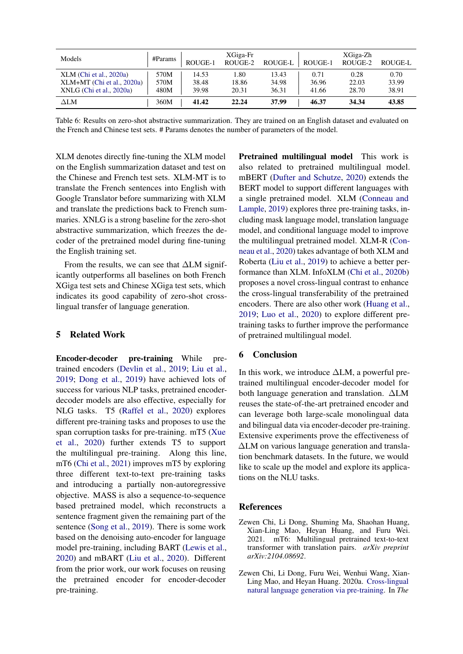<span id="page-6-2"></span>

| Models                       | $\#$ Params | ROUGE-1 | XGiga-Fr<br>ROUGE-2 | ROUGE-L | ROUGE-1 | XGiga-Zh<br>ROUGE-2 | ROUGE-L |
|------------------------------|-------------|---------|---------------------|---------|---------|---------------------|---------|
| $XLM$ (Chi et al., 2020a)    | 570M        | 14.53   | 1.80                | 13.43   | 0.71    | 0.28                | 0.70    |
| $XLM+MT$ (Chi et al., 2020a) | 570M        | 38.48   | 18.86               | 34.98   | 36.96   | 22.03               | 33.99   |
| $XNLG$ (Chi et al., 2020a)   | 480M        | 39.98   | 20.31               | 36.31   | 41.66   | 28.70               | 38.91   |
| $\Delta \text{LM}$           | 360M        | 41.42   | 22.24               | 37.99   | 46.37   | 34.34               | 43.85   |

Table 6: Results on zero-shot abstractive summarization. They are trained on an English dataset and evaluated on the French and Chinese test sets. # Params denotes the number of parameters of the model.

XLM denotes directly fine-tuning the XLM model on the English summarization dataset and test on the Chinese and French test sets. XLM-MT is to translate the French sentences into English with Google Translator before summarizing with XLM and translate the predictions back to French summaries. XNLG is a strong baseline for the zero-shot abstractive summarization, which freezes the decoder of the pretrained model during fine-tuning the English training set.

From the results, we can see that ∆LM significantly outperforms all baselines on both French XGiga test sets and Chinese XGiga test sets, which indicates its good capability of zero-shot crosslingual transfer of language generation.

### 5 Related Work

Encoder-decoder pre-training While pretrained encoders [\(Devlin et al.,](#page-7-0) [2019;](#page-7-0) [Liu et al.,](#page-8-0) [2019;](#page-8-0) [Dong et al.,](#page-7-1) [2019\)](#page-7-1) have achieved lots of success for various NLP tasks, pretrained encoderdecoder models are also effective, especially for NLG tasks. T5 [\(Raffel et al.,](#page-8-1) [2020\)](#page-8-1) explores different pre-training tasks and proposes to use the span corruption tasks for pre-training. mT5 [\(Xue](#page-8-3) [et al.,](#page-8-3) [2020\)](#page-8-3) further extends T5 to support the multilingual pre-training. Along this line, mT6 [\(Chi et al.,](#page-6-0) [2021\)](#page-6-0) improves mT5 by exploring three different text-to-text pre-training tasks and introducing a partially non-autoregressive objective. MASS is also a sequence-to-sequence based pretrained model, which reconstructs a sentence fragment given the remaining part of the sentence [\(Song et al.,](#page-8-12) [2019\)](#page-8-12). There is some work based on the denoising auto-encoder for language model pre-training, including BART [\(Lewis et al.,](#page-7-2) [2020\)](#page-7-2) and mBART [\(Liu et al.,](#page-8-2) [2020\)](#page-8-2). Different from the prior work, our work focuses on reusing the pretrained encoder for encoder-decoder pre-training.

Pretrained multilingual model This work is also related to pretrained multilingual model. mBERT [\(Dufter and Schutze,](#page-7-13) [2020\)](#page-7-13) extends the BERT model to support different languages with a single pretrained model. XLM [\(Conneau and](#page-7-6) [Lample,](#page-7-6) [2019\)](#page-7-6) explores three pre-training tasks, including mask language model, translation language model, and conditional language model to improve the multilingual pretrained model. XLM-R [\(Con](#page-7-14)[neau et al.,](#page-7-14) [2020\)](#page-7-14) takes advantage of both XLM and Roberta [\(Liu et al.,](#page-8-0) [2019\)](#page-8-0) to achieve a better performance than XLM. InfoXLM [\(Chi et al.,](#page-7-4) [2020b\)](#page-7-4) proposes a novel cross-lingual contrast to enhance the cross-lingual transferability of the pretrained encoders. There are also other work [\(Huang et al.,](#page-7-15) [2019;](#page-7-15) [Luo et al.,](#page-8-13) [2020\)](#page-8-13) to explore different pretraining tasks to further improve the performance of pretrained multilingual model.

# 6 Conclusion

In this work, we introduce ∆LM, a powerful pretrained multilingual encoder-decoder model for both language generation and translation. ∆LM reuses the state-of-the-art pretrained encoder and can leverage both large-scale monolingual data and bilingual data via encoder-decoder pre-training. Extensive experiments prove the effectiveness of ∆LM on various language generation and translation benchmark datasets. In the future, we would like to scale up the model and explore its applications on the NLU tasks.

### References

- <span id="page-6-0"></span>Zewen Chi, Li Dong, Shuming Ma, Shaohan Huang, Xian-Ling Mao, Heyan Huang, and Furu Wei. 2021. mT6: Multilingual pretrained text-to-text transformer with translation pairs. *arXiv preprint arXiv:2104.08692*.
- <span id="page-6-1"></span>Zewen Chi, Li Dong, Furu Wei, Wenhui Wang, Xian-Ling Mao, and Heyan Huang. 2020a. [Cross-lingual](https://www.aaai.org/Papers/AAAI/2020GB/AAAI-ChiZ.7682.pdf) [natural language generation via pre-training.](https://www.aaai.org/Papers/AAAI/2020GB/AAAI-ChiZ.7682.pdf) In *The*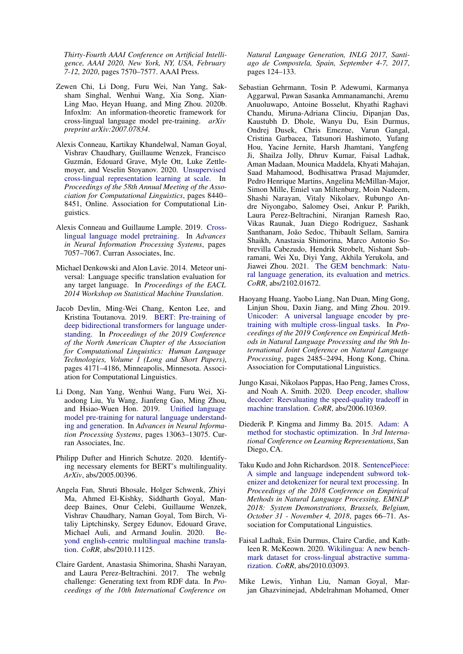*Thirty-Fourth AAAI Conference on Artificial Intelligence, AAAI 2020, New York, NY, USA, February 7-12, 2020*, pages 7570–7577. AAAI Press.

- <span id="page-7-4"></span>Zewen Chi, Li Dong, Furu Wei, Nan Yang, Saksham Singhal, Wenhui Wang, Xia Song, Xian-Ling Mao, Heyan Huang, and Ming Zhou. 2020b. Infoxlm: An information-theoretic framework for cross-lingual language model pre-training. *arXiv preprint arXiv:2007.07834*.
- <span id="page-7-14"></span>Alexis Conneau, Kartikay Khandelwal, Naman Goyal, Vishrav Chaudhary, Guillaume Wenzek, Francisco Guzman, Edouard Grave, Myle Ott, Luke Zettle- ´ moyer, and Veselin Stoyanov. 2020. [Unsupervised](https://www.aclweb.org/anthology/2020.acl-main.747) [cross-lingual representation learning at scale.](https://www.aclweb.org/anthology/2020.acl-main.747) In *Proceedings of the 58th Annual Meeting of the Association for Computational Linguistics*, pages 8440– 8451, Online. Association for Computational Linguistics.
- <span id="page-7-6"></span>Alexis Conneau and Guillaume Lample. 2019. [Cross](http://papers.nips.cc/paper/8928-cross-lingual-language-model-pretraining.pdf)[lingual language model pretraining.](http://papers.nips.cc/paper/8928-cross-lingual-language-model-pretraining.pdf) In *Advances in Neural Information Processing Systems*, pages 7057–7067. Curran Associates, Inc.
- <span id="page-7-8"></span>Michael Denkowski and Alon Lavie. 2014. Meteor universal: Language specific translation evaluation for any target language. In *Proceedings of the EACL 2014 Workshop on Statistical Machine Translation*.
- <span id="page-7-0"></span>Jacob Devlin, Ming-Wei Chang, Kenton Lee, and Kristina Toutanova. 2019. [BERT: Pre-training of](https://doi.org/10.18653/v1/N19-1423) [deep bidirectional transformers for language under](https://doi.org/10.18653/v1/N19-1423)[standing.](https://doi.org/10.18653/v1/N19-1423) In *Proceedings of the 2019 Conference of the North American Chapter of the Association for Computational Linguistics: Human Language Technologies, Volume 1 (Long and Short Papers)*, pages 4171–4186, Minneapolis, Minnesota. Association for Computational Linguistics.
- <span id="page-7-1"></span>Li Dong, Nan Yang, Wenhui Wang, Furu Wei, Xiaodong Liu, Yu Wang, Jianfeng Gao, Ming Zhou, and Hsiao-Wuen Hon. 2019. [Unified language](http://papers.nips.cc/paper/9464-unified-language-model-pre-training-for-natural-language-understanding-and-generation.pdf) [model pre-training for natural language understand](http://papers.nips.cc/paper/9464-unified-language-model-pre-training-for-natural-language-understanding-and-generation.pdf)[ing and generation.](http://papers.nips.cc/paper/9464-unified-language-model-pre-training-for-natural-language-understanding-and-generation.pdf) In *Advances in Neural Information Processing Systems*, pages 13063–13075. Curran Associates, Inc.
- <span id="page-7-13"></span>Philipp Dufter and Hinrich Schutze. 2020. Identifying necessary elements for BERT's multilinguality. *ArXiv*, abs/2005.00396.
- <span id="page-7-12"></span>Angela Fan, Shruti Bhosale, Holger Schwenk, Zhiyi Ma, Ahmed El-Kishky, Siddharth Goyal, Mandeep Baines, Onur Celebi, Guillaume Wenzek, Vishrav Chaudhary, Naman Goyal, Tom Birch, Vitaliy Liptchinsky, Sergey Edunov, Edouard Grave, Michael Auli, and Armand Joulin. 2020. [Be](http://arxiv.org/abs/2010.11125)[yond english-centric multilingual machine transla](http://arxiv.org/abs/2010.11125)[tion.](http://arxiv.org/abs/2010.11125) *CoRR*, abs/2010.11125.
- <span id="page-7-11"></span>Claire Gardent, Anastasia Shimorina, Shashi Narayan, and Laura Perez-Beltrachini. 2017. The webnlg challenge: Generating text from RDF data. In *Proceedings of the 10th International Conference on*

*Natural Language Generation, INLG 2017, Santiago de Compostela, Spain, September 4-7, 2017*, pages 124–133.

- <span id="page-7-10"></span>Sebastian Gehrmann, Tosin P. Adewumi, Karmanya Aggarwal, Pawan Sasanka Ammanamanchi, Aremu Anuoluwapo, Antoine Bosselut, Khyathi Raghavi Chandu, Miruna-Adriana Clinciu, Dipanjan Das, Kaustubh D. Dhole, Wanyu Du, Esin Durmus, Ondrej Dusek, Chris Emezue, Varun Gangal, Cristina Garbacea, Tatsunori Hashimoto, Yufang Hou, Yacine Jernite, Harsh Jhamtani, Yangfeng Ji, Shailza Jolly, Dhruv Kumar, Faisal Ladhak, Aman Madaan, Mounica Maddela, Khyati Mahajan, Saad Mahamood, Bodhisattwa Prasad Majumder, Pedro Henrique Martins, Angelina McMillan-Major, Simon Mille, Emiel van Miltenburg, Moin Nadeem, Shashi Narayan, Vitaly Nikolaev, Rubungo Andre Niyongabo, Salomey Osei, Ankur P. Parikh, Laura Perez-Beltrachini, Niranjan Ramesh Rao, Vikas Raunak, Juan Diego Rodriguez, Sashank Santhanam, João Sedoc, Thibault Sellam, Samira Shaikh, Anastasia Shimorina, Marco Antonio Sobrevilla Cabezudo, Hendrik Strobelt, Nishant Subramani, Wei Xu, Diyi Yang, Akhila Yerukola, and Jiawei Zhou. 2021. [The GEM benchmark: Natu](http://arxiv.org/abs/2102.01672)[ral language generation, its evaluation and metrics.](http://arxiv.org/abs/2102.01672) *CoRR*, abs/2102.01672.
- <span id="page-7-15"></span>Haoyang Huang, Yaobo Liang, Nan Duan, Ming Gong, Linjun Shou, Daxin Jiang, and Ming Zhou. 2019. [Unicoder: A universal language encoder by pre](https://doi.org/10.18653/v1/D19-1252)[training with multiple cross-lingual tasks.](https://doi.org/10.18653/v1/D19-1252) In *Proceedings of the 2019 Conference on Empirical Methods in Natural Language Processing and the 9th International Joint Conference on Natural Language Processing*, pages 2485–2494, Hong Kong, China. Association for Computational Linguistics.
- <span id="page-7-3"></span>Jungo Kasai, Nikolaos Pappas, Hao Peng, James Cross, and Noah A. Smith. 2020. [Deep encoder, shallow](http://arxiv.org/abs/2006.10369) [decoder: Reevaluating the speed-quality tradeoff in](http://arxiv.org/abs/2006.10369) [machine translation.](http://arxiv.org/abs/2006.10369) *CoRR*, abs/2006.10369.
- <span id="page-7-7"></span>Diederik P. Kingma and Jimmy Ba. 2015. [Adam: A](http://arxiv.org/abs/1412.6980) [method for stochastic optimization.](http://arxiv.org/abs/1412.6980) In *3rd International Conference on Learning Representations*, San Diego, CA.
- <span id="page-7-5"></span>Taku Kudo and John Richardson. 2018. [SentencePiece:](https://doi.org/10.18653/v1/d18-2012) [A simple and language independent subword tok](https://doi.org/10.18653/v1/d18-2012)[enizer and detokenizer for neural text processing.](https://doi.org/10.18653/v1/d18-2012) In *Proceedings of the 2018 Conference on Empirical Methods in Natural Language Processing, EMNLP 2018: System Demonstrations, Brussels, Belgium, October 31 - November 4, 2018*, pages 66–71. Association for Computational Linguistics.
- <span id="page-7-9"></span>Faisal Ladhak, Esin Durmus, Claire Cardie, and Kathleen R. McKeown. 2020. [Wikilingua: A new bench](http://arxiv.org/abs/2010.03093)[mark dataset for cross-lingual abstractive summa](http://arxiv.org/abs/2010.03093)[rization.](http://arxiv.org/abs/2010.03093) *CoRR*, abs/2010.03093.
- <span id="page-7-2"></span>Mike Lewis, Yinhan Liu, Naman Goyal, Marjan Ghazvininejad, Abdelrahman Mohamed, Omer